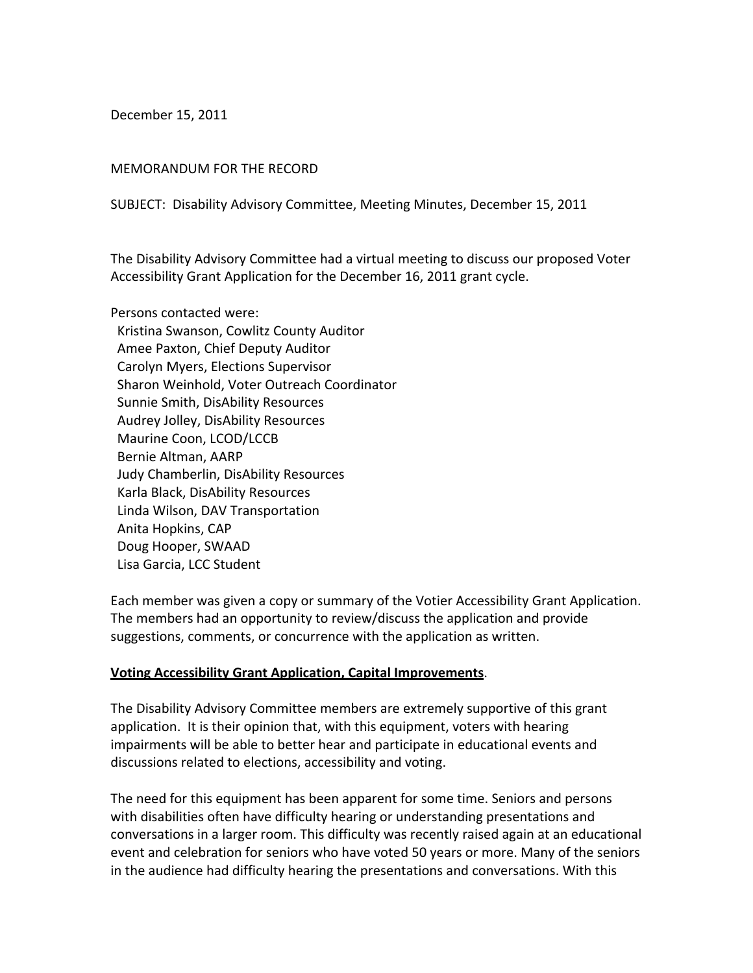December 15, 2011

## MEMORANDUM FOR THE RECORD

SUBJECT: Disability Advisory Committee, Meeting Minutes, December 15, 2011

The Disability Advisory Committee had a virtual meeting to discuss our proposed Voter Accessibility Grant Application for the December 16, 2011 grant cycle.

Persons contacted were: Kristina Swanson, Cowlitz County Auditor Amee Paxton, Chief Deputy Auditor Carolyn Myers, Elections Supervisor Sharon Weinhold, Voter Outreach Coordinator Sunnie Smith, DisAbility Resources Audrey Jolley, DisAbility Resources Maurine Coon, LCOD/LCCB Bernie Altman, AARP Judy Chamberlin, DisAbility Resources Karla Black, DisAbility Resources Linda Wilson, DAV Transportation Anita Hopkins, CAP Doug Hooper, SWAAD Lisa Garcia, LCC Student

Each member was given a copy or summary of the Votier Accessibility Grant Application. The members had an opportunity to review/discuss the application and provide suggestions, comments, or concurrence with the application as written.

## **Voting Accessibility Grant Application, Capital Improvements**.

The Disability Advisory Committee members are extremely supportive of this grant application. It is their opinion that, with this equipment, voters with hearing impairments will be able to better hear and participate in educational events and discussions related to elections, accessibility and voting.

The need for this equipment has been apparent for some time. Seniors and persons with disabilities often have difficulty hearing or understanding presentations and conversations in a larger room. This difficulty was recently raised again at an educational event and celebration for seniors who have voted 50 years or more. Many of the seniors in the audience had difficulty hearing the presentations and conversations. With this